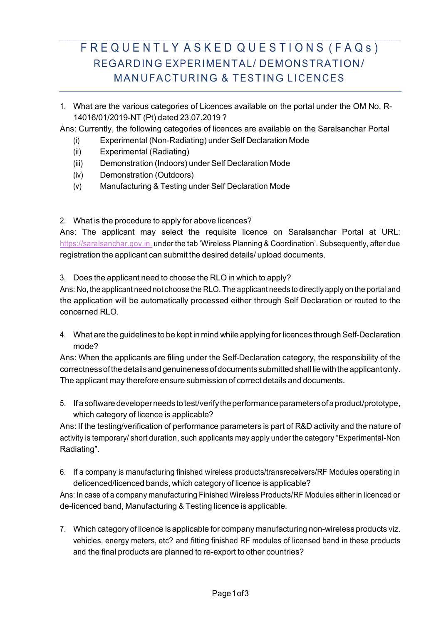# F R E Q U E N T L Y A S K E D Q U E S T I O N S (F A Q s ) REGARDING EXPERIMENTAL/ DEMONSTRATION/ MANUFACTURING & TESTING LICENCES

- 1. What are the various categories of Licences available on the portal under the OM No. R-14016/01/2019-NT (Pt) dated 23.07.2019 ?
- Ans: Currently, the following categories of licences are available on the Saralsanchar Portal
	- (i) Experimental (Non-Radiating) under Self Declaration Mode
	- (ii) Experimental (Radiating)
	- (iii) Demonstration (Indoors) under Self Declaration Mode
	- (iv) Demonstration (Outdoors)
	- (v) Manufacturing & Testing under Self Declaration Mode

2. What is the procedure to apply for above licences?

Ans: The applicant may select the requisite licence on Saralsanchar Portal at URL: https://saralsanchar.gov.in. under the tab 'Wireless Planning & Coordination'. Subsequently, after due registration the applicant can submit the desired details/ upload documents.

3. Does the applicant need to choose the RLO in which to apply?

Ans: No, the applicant need not choose the RLO. The applicant needs to directly apply on the portal and the application will be automatically processed either through Self Declaration or routed to the concerned RLO.

4. What are the guidelines to be kept in mind while applying for licences through Self-Declaration mode?

Ans: When the applicants are filing under the Self-Declaration category, the responsibility of the correctnessofthedetailsand genuinenessofdocumentssubmittedshall liewiththeapplicantonly. The applicant may therefore ensure submission of correct details and documents.

5. Ifasoftware developerneeds totest/verifytheperformanceparametersofaproduct/prototype, which category of licence is applicable?

Ans: If the testing/verification of performance parameters is part of R&D activity and the nature of activity is temporary/ short duration, such applicants may apply under the category "Experimental-Non Radiating".

6. If a company is manufacturing finished wireless products/transreceivers/RF Modules operating in delicenced/licenced bands, which category of licence is applicable?

Ans: In case of a company manufacturing Finished Wireless Products/RF Modules either in licenced or de-licenced band, Manufacturing & Testing licence is applicable.

7. Which category of licence is applicable for company manufacturing non-wireless products viz. vehicles, energy meters, etc? and fitting finished RF modules of licensed band in these products and the final products are planned to re-export to other countries?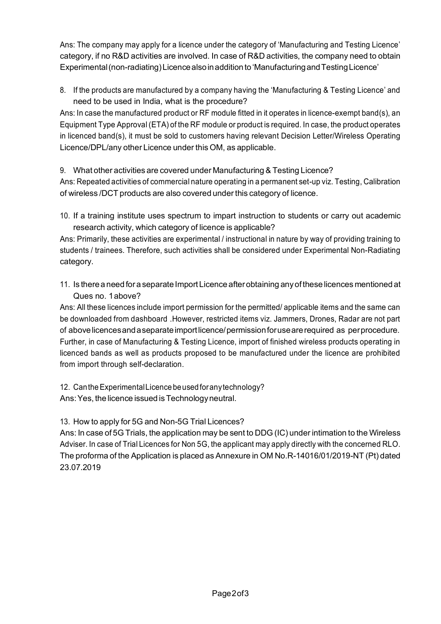Ans: The company may apply for a licence under the category of 'Manufacturing and Testing Licence' category, if no R&D activities are involved. In case of R&D activities, the company need to obtain Experimental(non-radiating)Licencealsoinaddition to 'ManufacturingandTestingLicence'

8. If the products are manufactured by a company having the 'Manufacturing & Testing Licence' and need to be used in India, what is the procedure?

Ans: In case the manufactured product or RF module fitted in it operates in licence-exempt band(s), an Equipment Type Approval (ETA) of the RF module or product is required. In case, the product operates in licenced band(s), it must be sold to customers having relevant Decision Letter/Wireless Operating Licence/DPL/any other Licence under this OM, as applicable.

9. What other activities are covered under Manufacturing& Testing Licence?

Ans: Repeated activities of commercial nature operating in a permanent set-up viz. Testing, Calibration of wireless /DCT products are also covered under this category of licence.

10. If a training institute uses spectrum to impart instruction to students or carry out academic research activity, which category of licence is applicable?

Ans: Primarily, these activities are experimental / instructional in nature by way of providing training to students / trainees. Therefore, such activities shall be considered under Experimental Non-Radiating category.

11. Is there a need for a separate ImportLicence afterobtaining anyofthese licences mentioned at Ques no. 1above?

Ans: All these licences include import permission for the permitted/ applicable items and the same can be downloaded from dashboard .However, restricted items viz. Jammers, Drones, Radar are not part of abovelicencesandaseparateimportlicence/permissionforusearerequired as perprocedure. Further, in case of Manufacturing & Testing Licence, import of finished wireless products operating in licenced bands as well as products proposed to be manufactured under the licence are prohibited from import through self-declaration.

12. CantheExperimentalLicencebeusedforanytechnology? Ans: Yes, the licence issued is Technology neutral.

13. How to apply for 5G and Non-5G Trial Licences?

Ans: In case of 5G Trials, the application may be sent to DDG (IC) under intimation to the Wireless Adviser. In case of Trial Licences for Non 5G, the applicant may apply directly with the concerned RLO. The proforma of the Application is placed as Annexure in OM No.R-14016/01/2019-NT (Pt) dated 23.07.2019